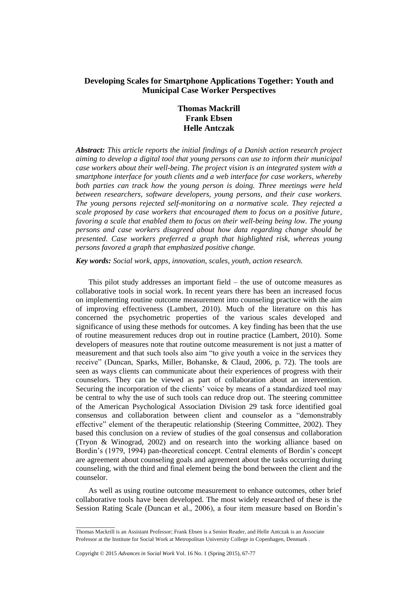# **Developing Scales for Smartphone Applications Together: Youth and Municipal Case Worker Perspectives**

# **Thomas Mackrill Frank Ebsen Helle Antczak**

*Abstract: This article reports the initial findings of a Danish action research project aiming to develop a digital tool that young persons can use to inform their municipal case workers about their well-being. The project vision is an integrated system with a smartphone interface for youth clients and a web interface for case workers, whereby both parties can track how the young person is doing. Three meetings were held between researchers, software developers, young persons, and their case workers. The young persons rejected self-monitoring on a normative scale. They rejected a scale proposed by case workers that encouraged them to focus on a positive future, favoring a scale that enabled them to focus on their well-being being low. The young persons and case workers disagreed about how data regarding change should be presented. Case workers preferred a graph that highlighted risk, whereas young persons favored a graph that emphasized positive change.* 

*Key words: Social work, apps, innovation, scales, youth, action research.*

This pilot study addresses an important field – the use of outcome measures as collaborative tools in social work. In recent years there has been an increased focus on implementing routine outcome measurement into counseling practice with the aim of improving effectiveness (Lambert, 2010). Much of the literature on this has concerned the psychometric properties of the various scales developed and significance of using these methods for outcomes. A key finding has been that the use of routine measurement reduces drop out in routine practice (Lambert, 2010). Some developers of measures note that routine outcome measurement is not just a matter of measurement and that such tools also aim "to give youth a voice in the services they receive" (Duncan, Sparks, Miller, Bohanske, & Claud, 2006, p. 72). The tools are seen as ways clients can communicate about their experiences of progress with their counselors. They can be viewed as part of collaboration about an intervention. Securing the incorporation of the clients' voice by means of a standardized tool may be central to why the use of such tools can reduce drop out. The steering committee of the American Psychological Association Division 29 task force identified goal consensus and collaboration between client and counselor as a "demonstrably effective" element of the therapeutic relationship (Steering Committee, 2002). They based this conclusion on a review of studies of the goal consensus and collaboration (Tryon & Winograd, 2002) and on research into the working alliance based on Bordin's (1979, 1994) pan-theoretical concept. Central elements of Bordin's concept are agreement about counseling goals and agreement about the tasks occurring during counseling, with the third and final element being the bond between the client and the counselor.

As well as using routine outcome measurement to enhance outcomes, other brief collaborative tools have been developed. The most widely researched of these is the Session Rating Scale (Duncan et al., 2006), a four item measure based on Bordin's

 $\overline{\phantom{a}}$ 

Thomas Mackrill is an Assistant Professor; Frank Ebsen is a Senior Reader, and Helle Antczak is an Associate Professor at the Institute for Social Work at Metropolitan University College in Copenhagen, Denmark .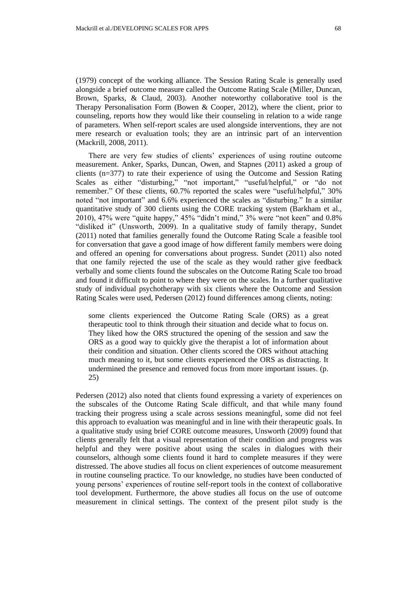(1979) concept of the working alliance. The Session Rating Scale is generally used alongside a brief outcome measure called the Outcome Rating Scale (Miller, Duncan, Brown, Sparks, & Claud, 2003). Another noteworthy collaborative tool is the Therapy Personalisation Form (Bowen & Cooper, 2012), where the client, prior to counseling, reports how they would like their counseling in relation to a wide range of parameters. When self-report scales are used alongside interventions, they are not mere research or evaluation tools; they are an intrinsic part of an intervention (Mackrill, 2008, 2011).

There are very few studies of clients' experiences of using routine outcome measurement. Anker, Sparks, Duncan, Owen, and Stapnes (2011) asked a group of clients (n=377) to rate their experience of using the Outcome and Session Rating Scales as either "disturbing," "not important," "useful/helpful," or "do not remember." Of these clients, 60.7% reported the scales were "useful/helpful," 30% noted "not important" and 6.6% experienced the scales as "disturbing." In a similar quantitative study of 300 clients using the CORE tracking system (Barkham et al., 2010), 47% were "quite happy," 45% "didn't mind," 3% were "not keen" and 0.8% "disliked it" (Unsworth, 2009). In a qualitative study of family therapy, Sundet (2011) noted that families generally found the Outcome Rating Scale a feasible tool for conversation that gave a good image of how different family members were doing and offered an opening for conversations about progress. Sundet (2011) also noted that one family rejected the use of the scale as they would rather give feedback verbally and some clients found the subscales on the Outcome Rating Scale too broad and found it difficult to point to where they were on the scales. In a further qualitative study of individual psychotherapy with six clients where the Outcome and Session Rating Scales were used, Pedersen (2012) found differences among clients, noting:

some clients experienced the Outcome Rating Scale (ORS) as a great therapeutic tool to think through their situation and decide what to focus on. They liked how the ORS structured the opening of the session and saw the ORS as a good way to quickly give the therapist a lot of information about their condition and situation. Other clients scored the ORS without attaching much meaning to it, but some clients experienced the ORS as distracting. It undermined the presence and removed focus from more important issues. (p. 25)

Pedersen (2012) also noted that clients found expressing a variety of experiences on the subscales of the Outcome Rating Scale difficult, and that while many found tracking their progress using a scale across sessions meaningful, some did not feel this approach to evaluation was meaningful and in line with their therapeutic goals. In a qualitative study using brief CORE outcome measures, Unsworth (2009) found that clients generally felt that a visual representation of their condition and progress was helpful and they were positive about using the scales in dialogues with their counselors, although some clients found it hard to complete measures if they were distressed. The above studies all focus on client experiences of outcome measurement in routine counseling practice. To our knowledge, no studies have been conducted of young persons' experiences of routine self-report tools in the context of collaborative tool development. Furthermore, the above studies all focus on the use of outcome measurement in clinical settings. The context of the present pilot study is the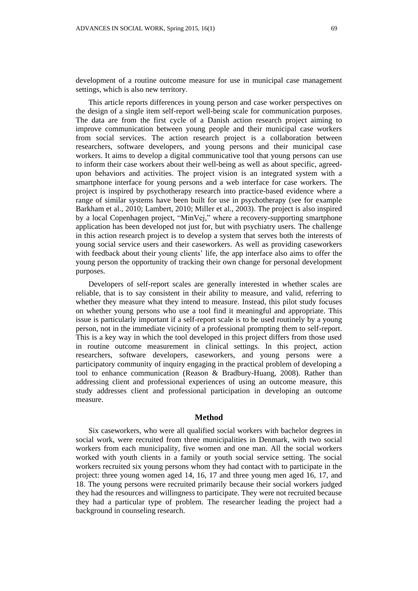development of a routine outcome measure for use in municipal case management settings, which is also new territory.

This article reports differences in young person and case worker perspectives on the design of a single item self-report well-being scale for communication purposes. The data are from the first cycle of a Danish action research project aiming to improve communication between young people and their municipal case workers from social services. The action research project is a collaboration between researchers, software developers, and young persons and their municipal case workers. It aims to develop a digital communicative tool that young persons can use to inform their case workers about their well-being as well as about specific, agreedupon behaviors and activities. The project vision is an integrated system with a smartphone interface for young persons and a web interface for case workers. The project is inspired by psychotherapy research into practice-based evidence where a range of similar systems have been built for use in psychotherapy (see for example Barkham et al., 2010; Lambert, 2010; Miller et al., 2003). The project is also inspired by a local Copenhagen project, "MinVej," where a recovery-supporting smartphone application has been developed not just for, but with psychiatry users. The challenge in this action research project is to develop a system that serves both the interests of young social service users and their caseworkers. As well as providing caseworkers with feedback about their young clients' life, the app interface also aims to offer the young person the opportunity of tracking their own change for personal development purposes.

Developers of self-report scales are generally interested in whether scales are reliable, that is to say consistent in their ability to measure, and valid, referring to whether they measure what they intend to measure. Instead, this pilot study focuses on whether young persons who use a tool find it meaningful and appropriate. This issue is particularly important if a self-report scale is to be used routinely by a young person, not in the immediate vicinity of a professional prompting them to self-report. This is a key way in which the tool developed in this project differs from those used in routine outcome measurement in clinical settings. In this project, action researchers, software developers, caseworkers, and young persons were a participatory community of inquiry engaging in the practical problem of developing a tool to enhance communication (Reason & Bradbury-Huang, 2008). Rather than addressing client and professional experiences of using an outcome measure, this study addresses client and professional participation in developing an outcome measure.

### **Method**

Six caseworkers, who were all qualified social workers with bachelor degrees in social work, were recruited from three municipalities in Denmark, with two social workers from each municipality, five women and one man. All the social workers worked with youth clients in a family or youth social service setting. The social workers recruited six young persons whom they had contact with to participate in the project: three young women aged 14, 16, 17 and three young men aged 16, 17, and 18. The young persons were recruited primarily because their social workers judged they had the resources and willingness to participate. They were not recruited because they had a particular type of problem. The researcher leading the project had a background in counseling research.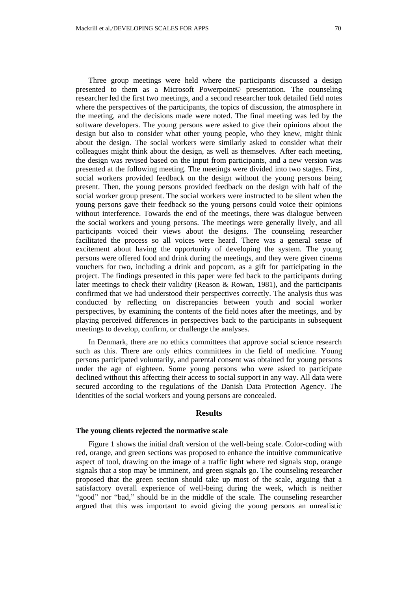Three group meetings were held where the participants discussed a design presented to them as a Microsoft Powerpoint© presentation. The counseling researcher led the first two meetings, and a second researcher took detailed field notes where the perspectives of the participants, the topics of discussion, the atmosphere in the meeting, and the decisions made were noted. The final meeting was led by the software developers. The young persons were asked to give their opinions about the design but also to consider what other young people, who they knew, might think about the design. The social workers were similarly asked to consider what their colleagues might think about the design, as well as themselves. After each meeting, the design was revised based on the input from participants, and a new version was presented at the following meeting. The meetings were divided into two stages. First, social workers provided feedback on the design without the young persons being present. Then, the young persons provided feedback on the design with half of the social worker group present. The social workers were instructed to be silent when the young persons gave their feedback so the young persons could voice their opinions without interference. Towards the end of the meetings, there was dialogue between the social workers and young persons. The meetings were generally lively, and all participants voiced their views about the designs. The counseling researcher facilitated the process so all voices were heard. There was a general sense of excitement about having the opportunity of developing the system. The young persons were offered food and drink during the meetings, and they were given cinema vouchers for two, including a drink and popcorn, as a gift for participating in the project. The findings presented in this paper were fed back to the participants during later meetings to check their validity (Reason & Rowan, 1981), and the participants confirmed that we had understood their perspectives correctly. The analysis thus was conducted by reflecting on discrepancies between youth and social worker perspectives, by examining the contents of the field notes after the meetings, and by playing perceived differences in perspectives back to the participants in subsequent meetings to develop, confirm, or challenge the analyses.

In Denmark, there are no ethics committees that approve social science research such as this. There are only ethics committees in the field of medicine. Young persons participated voluntarily, and parental consent was obtained for young persons under the age of eighteen. Some young persons who were asked to participate declined without this affecting their access to social support in any way. All data were secured according to the regulations of the Danish Data Protection Agency. The identities of the social workers and young persons are concealed.

# **Results**

### **The young clients rejected the normative scale**

Figure 1 shows the initial draft version of the well-being scale. Color-coding with red, orange, and green sections was proposed to enhance the intuitive communicative aspect of tool, drawing on the image of a traffic light where red signals stop, orange signals that a stop may be imminent, and green signals go. The counseling researcher proposed that the green section should take up most of the scale, arguing that a satisfactory overall experience of well-being during the week, which is neither "good" nor "bad," should be in the middle of the scale. The counseling researcher argued that this was important to avoid giving the young persons an unrealistic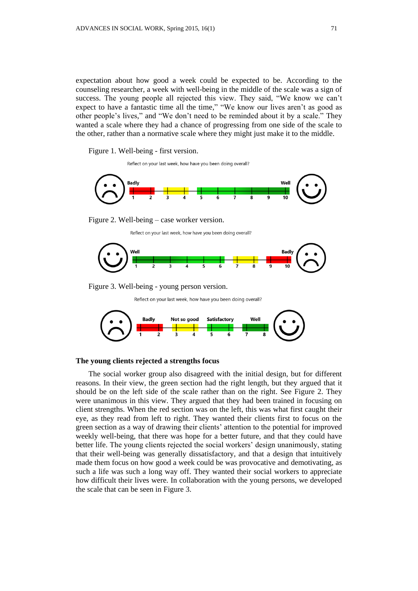expectation about how good a week could be expected to be. According to the counseling researcher, a week with well-being in the middle of the scale was a sign of success. The young people all rejected this view. They said, "We know we can't expect to have a fantastic time all the time," "We know our lives aren't as good as other people's lives," and "We don't need to be reminded about it by a scale." They wanted a scale where they had a chance of progressing from one side of the scale to the other, rather than a normative scale where they might just make it to the middle.

Figure 1. Well-being - first version.

Reflect on your last week, how have you been doing overall?





Reflect on your last week, how have you been doing overall?



Figure 3. Well-being - young person version.

Reflect on your last week, how have you been doing overall?



# **The young clients rejected a strengths focus**

The social worker group also disagreed with the initial design, but for different reasons. In their view, the green section had the right length, but they argued that it should be on the left side of the scale rather than on the right. See Figure 2. They were unanimous in this view. They argued that they had been trained in focusing on client strengths. When the red section was on the left, this was what first caught their eye, as they read from left to right. They wanted their clients first to focus on the green section as a way of drawing their clients' attention to the potential for improved weekly well-being, that there was hope for a better future, and that they could have better life. The young clients rejected the social workers' design unanimously, stating that their well-being was generally dissatisfactory, and that a design that intuitively made them focus on how good a week could be was provocative and demotivating, as such a life was such a long way off. They wanted their social workers to appreciate how difficult their lives were. In collaboration with the young persons, we developed the scale that can be seen in Figure 3.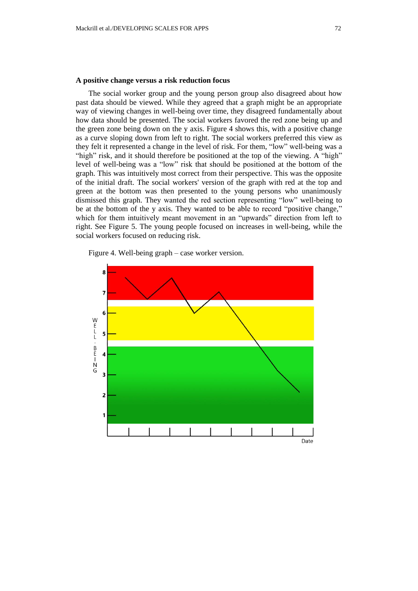## **A positive change versus a risk reduction focus**

The social worker group and the young person group also disagreed about how past data should be viewed. While they agreed that a graph might be an appropriate way of viewing changes in well-being over time, they disagreed fundamentally about how data should be presented. The social workers favored the red zone being up and the green zone being down on the y axis. Figure 4 shows this, with a positive change as a curve sloping down from left to right. The social workers preferred this view as they felt it represented a change in the level of risk. For them, "low" well-being was a "high" risk, and it should therefore be positioned at the top of the viewing. A "high" level of well-being was a "low" risk that should be positioned at the bottom of the graph. This was intuitively most correct from their perspective. This was the opposite of the initial draft. The social workers' version of the graph with red at the top and green at the bottom was then presented to the young persons who unanimously dismissed this graph. They wanted the red section representing "low" well-being to be at the bottom of the y axis. They wanted to be able to record "positive change," which for them intuitively meant movement in an "upwards" direction from left to right. See Figure 5. The young people focused on increases in well-being, while the social workers focused on reducing risk.



Figure 4. Well-being graph – case worker version.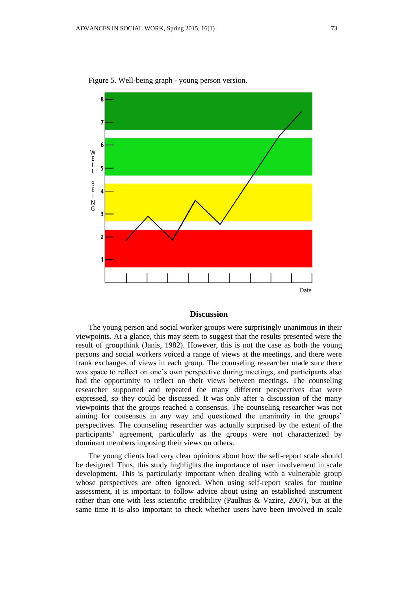

Figure 5. Well-being graph - young person version.

## **Discussion**

The young person and social worker groups were surprisingly unanimous in their viewpoints. At a glance, this may seem to suggest that the results presented were the result of groupthink (Janis, 1982). However, this is not the case as both the young persons and social workers voiced a range of views at the meetings, and there were frank exchanges of views in each group. The counseling researcher made sure there was space to reflect on one's own perspective during meetings, and participants also had the opportunity to reflect on their views between meetings. The counseling researcher supported and repeated the many different perspectives that were expressed, so they could be discussed. It was only after a discussion of the many viewpoints that the groups reached a consensus. The counseling researcher was not aiming for consensus in any way and questioned the unanimity in the groups' perspectives. The counseling researcher was actually surprised by the extent of the participants' agreement, particularly as the groups were not characterized by dominant members imposing their views on others.

The young clients had very clear opinions about how the self-report scale should be designed. Thus, this study highlights the importance of user involvement in scale development. This is particularly important when dealing with a vulnerable group whose perspectives are often ignored. When using self-report scales for routine assessment, it is important to follow advice about using an established instrument rather than one with less scientific credibility (Paulhus & Vazire, 2007), but at the same time it is also important to check whether users have been involved in scale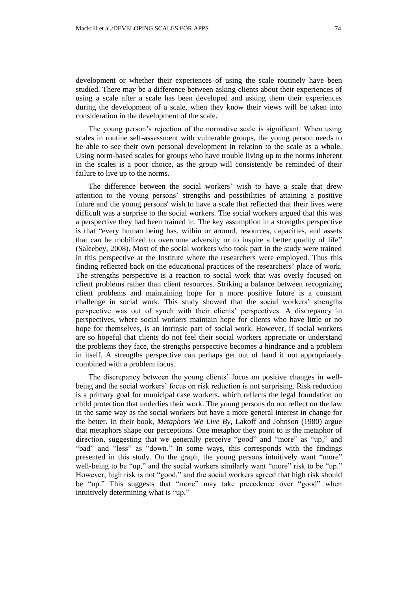development or whether their experiences of using the scale routinely have been studied. There may be a difference between asking clients about their experiences of using a scale after a scale has been developed and asking them their experiences during the development of a scale, when they know their views will be taken into consideration in the development of the scale.

The young person's rejection of the normative scale is significant. When using scales in routine self-assessment with vulnerable groups, the young person needs to be able to see their own personal development in relation to the scale as a whole. Using norm-based scales for groups who have trouble living up to the norms inherent in the scales is a poor choice, as the group will consistently be reminded of their failure to live up to the norms.

The difference between the social workers' wish to have a scale that drew attention to the young persons' strengths and possibilities of attaining a positive future and the young persons' wish to have a scale that reflected that their lives were difficult was a surprise to the social workers. The social workers argued that this was a perspective they had been trained in. The key assumption in a strengths perspective is that "every human being has, within or around, resources, capacities, and assets that can be mobilized to overcome adversity or to inspire a better quality of life" (Saleebey, 2008). Most of the social workers who took part in the study were trained in this perspective at the Institute where the researchers were employed. Thus this finding reflected back on the educational practices of the researchers' place of work. The strengths perspective is a reaction to social work that was overly focused on client problems rather than client resources. Striking a balance between recognizing client problems and maintaining hope for a more positive future is a constant challenge in social work. This study showed that the social workers' strengths perspective was out of synch with their clients' perspectives. A discrepancy in perspectives, where social workers maintain hope for clients who have little or no hope for themselves, is an intrinsic part of social work. However, if social workers are so hopeful that clients do not feel their social workers appreciate or understand the problems they face, the strengths perspective becomes a hindrance and a problem in itself. A strengths perspective can perhaps get out of hand if not appropriately combined with a problem focus.

The discrepancy between the young clients' focus on positive changes in wellbeing and the social workers' focus on risk reduction is not surprising. Risk reduction is a primary goal for municipal case workers, which reflects the legal foundation on child protection that underlies their work. The young persons do not reflect on the law in the same way as the social workers but have a more general interest in change for the better. In their book, *Metaphors We Live By,* Lakoff and Johnson (1980) argue that metaphors shape our perceptions. One metaphor they point to is the metaphor of direction, suggesting that we generally perceive "good" and "more" as "up," and "bad" and "less" as "down." In some ways, this corresponds with the findings presented in this study. On the graph, the young persons intuitively want "more" well-being to be "up," and the social workers similarly want "more" risk to be "up." However, high risk is not "good," and the social workers agreed that high risk should be "up." This suggests that "more" may take precedence over "good" when intuitively determining what is "up."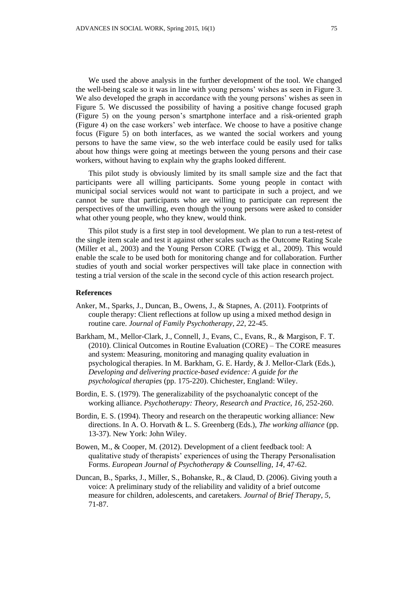We used the above analysis in the further development of the tool. We changed the well-being scale so it was in line with young persons' wishes as seen in Figure 3. We also developed the graph in accordance with the young persons' wishes as seen in Figure 5. We discussed the possibility of having a positive change focused graph (Figure 5) on the young person's smartphone interface and a risk-oriented graph (Figure 4) on the case workers' web interface. We choose to have a positive change focus (Figure 5) on both interfaces, as we wanted the social workers and young persons to have the same view, so the web interface could be easily used for talks about how things were going at meetings between the young persons and their case workers, without having to explain why the graphs looked different.

This pilot study is obviously limited by its small sample size and the fact that participants were all willing participants. Some young people in contact with municipal social services would not want to participate in such a project, and we cannot be sure that participants who are willing to participate can represent the perspectives of the unwilling, even though the young persons were asked to consider what other young people, who they knew, would think.

This pilot study is a first step in tool development. We plan to run a test-retest of the single item scale and test it against other scales such as the Outcome Rating Scale (Miller et al., 2003) and the Young Person CORE (Twigg et al., 2009). This would enable the scale to be used both for monitoring change and for collaboration. Further studies of youth and social worker perspectives will take place in connection with testing a trial version of the scale in the second cycle of this action research project.

### **References**

- Anker, M., Sparks, J., Duncan, B., Owens, J., & Stapnes, A. (2011). Footprints of couple therapy: Client reflections at follow up using a mixed method design in routine care. *Journal of Family Psychotherapy, 22*, 22-45.
- Barkham, M., Mellor-Clark, J., Connell, J., Evans, C., Evans, R., & Margison, F. T. (2010). Clinical Outcomes in Routine Evaluation (CORE) – The CORE measures and system: Measuring, monitoring and managing quality evaluation in psychological therapies. In M. Barkham, G. E. Hardy, & J. Mellor-Clark (Eds.), *Developing and delivering practice-based evidence: A guide for the psychological therapies* (pp. 175-220). Chichester, England: Wiley.
- Bordin, E. S. (1979). The generalizability of the psychoanalytic concept of the working alliance. *Psychotherapy: Theory, Research and Practice, 16*, 252-260.
- Bordin, E. S. (1994). Theory and research on the therapeutic working alliance: New directions. In A. O. Horvath & L. S. Greenberg (Eds.), *The working alliance* (pp. 13-37). New York: John Wiley.
- Bowen, M., & Cooper, M. (2012). Development of a client feedback tool: A qualitative study of therapists' experiences of using the Therapy Personalisation Forms. *European Journal of Psychotherapy & Counselling*, *14*, 47-62.
- Duncan, B., Sparks, J., Miller, S., Bohanske, R., & Claud, D. (2006). Giving youth a voice: A preliminary study of the reliability and validity of a brief outcome measure for children, adolescents, and caretakers. *Journal of Brief Therapy, 5,* 71-87.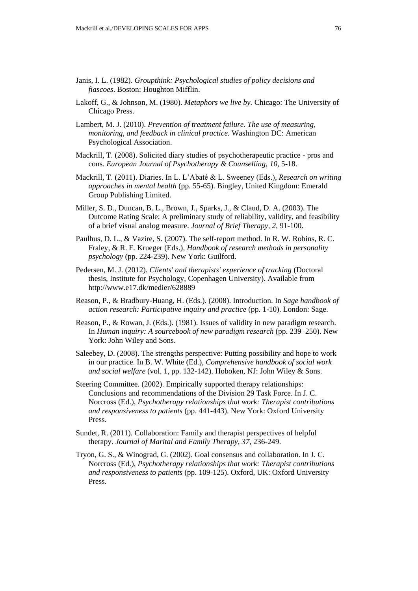- Janis, I. L. (1982). *Groupthink: Psychological studies of policy decisions and fiascoes*. Boston: Houghton Mifflin.
- Lakoff, G., & Johnson, M. (1980). *Metaphors we live by.* Chicago: The University of Chicago Press.
- Lambert, M. J. (2010). *Prevention of treatment failure. The use of measuring, monitoring, and feedback in clinical practice.* Washington DC: American Psychological Association.
- Mackrill, T. (2008). Solicited diary studies of psychotherapeutic practice pros and cons. *European Journal of Psychotherapy & Counselling, 10,* 5-18.
- Mackrill, T. (2011). Diaries. In L. L'Abaté & L. Sweeney (Eds.), *Research on writing approaches in mental health* (pp. 55-65). Bingley, United Kingdom: Emerald Group Publishing Limited.
- Miller, S. D., Duncan, B. L., Brown, J., Sparks, J., & Claud, D. A. (2003). The Outcome Rating Scale: A preliminary study of reliability, validity, and feasibility of a brief visual analog measure. *Journal of Brief Therapy, 2*, 91-100.
- Paulhus, D. L., & Vazire, S. (2007). The self-report method. In R. W. Robins, R. C. Fraley, & R. F. Krueger (Eds.), *Handbook of research methods in personality psychology* (pp. 224-239). New York: Guilford.
- Pedersen, M. J. (2012). *Clients' and therapists' experience of tracking* (Doctoral thesis, Institute for Psychology, Copenhagen University). Available from http://www.e17.dk/medier/628889
- Reason, P., & Bradbury-Huang, H. (Eds.). (2008). Introduction. In *Sage handbook of action research: Participative inquiry and practice* (pp. 1-10). London: Sage.
- Reason, P., & Rowan, J. (Eds.). (1981). Issues of validity in new paradigm research. In *Human inquiry: A sourcebook of new paradigm research* (pp. 239–250). New York: John Wiley and Sons.
- Saleebey, D. (2008). The strengths perspective: Putting possibility and hope to work in our practice. In B. W. White (Ed.), *Comprehensive handbook of social work and social welfare* (vol. 1, pp. 132-142). Hoboken, NJ: John Wiley & Sons.
- Steering Committee. (2002). Empirically supported therapy relationships: Conclusions and recommendations of the Division 29 Task Force. In J. C. Norcross (Ed.), *Psychotherapy relationships that work: Therapist contributions and responsiveness to patients* (pp. 441-443). New York: Oxford University Press.
- Sundet, R. (2011). Collaboration: Family and therapist perspectives of helpful therapy. *Journal of Marital and Family Therapy, 37*, 236-249.
- Tryon, G. S., & Winograd, G. (2002). Goal consensus and collaboration. In J. C. Norcross (Ed.), *Psychotherapy relationships that work: Therapist contributions and responsiveness to patients* (pp. 109-125). Oxford, UK: Oxford University Press.